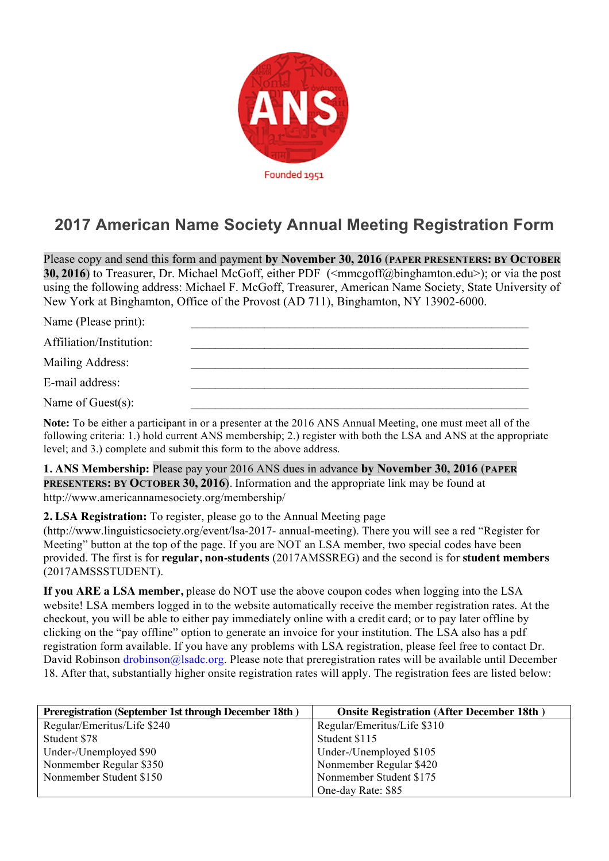

## **2017 American Name Society Annual Meeting Registration Form**

Please copy and send this form and payment **by November 30, 2016** (**PAPER PRESENTERS: BY OCTOBER 30, 2016**) to Treasurer, Dr. Michael McGoff, either PDF (<mmcgoff@binghamton.edu>); or via the post using the following address: Michael F. McGoff, Treasurer, American Name Society, State University of New York at Binghamton, Office of the Provost (AD 711), Binghamton, NY 13902-6000.

| Name (Please print):     |  |
|--------------------------|--|
| Affiliation/Institution: |  |
| Mailing Address:         |  |
| E-mail address:          |  |
| Name of Guest $(s)$ :    |  |

**Note:** To be either a participant in or a presenter at the 2016 ANS Annual Meeting, one must meet all of the following criteria: 1.) hold current ANS membership; 2.) register with both the LSA and ANS at the appropriate level; and 3.) complete and submit this form to the above address.

**1. ANS Membership:** Please pay your 2016 ANS dues in advance **by November 30, 2016** (**PAPER PRESENTERS: BY OCTOBER 30, 2016**). Information and the appropriate link may be found at http://www.americannamesociety.org/membership/

**2. LSA Registration:** To register, please go to the Annual Meeting page

(http://www.linguisticsociety.org/event/lsa-2017- annual-meeting). There you will see a red "Register for Meeting" button at the top of the page. If you are NOT an LSA member, two special codes have been provided. The first is for **regular, non-students** (2017AMSSREG) and the second is for **student members**  (2017AMSSSTUDENT).

**If you ARE a LSA member,** please do NOT use the above coupon codes when logging into the LSA website! LSA members logged in to the website automatically receive the member registration rates. At the checkout, you will be able to either pay immediately online with a credit card; or to pay later offline by clicking on the "pay offline" option to generate an invoice for your institution. The LSA also has a pdf registration form available. If you have any problems with LSA registration, please feel free to contact Dr. David Robinson drobinson@lsadc.org. Please note that preregistration rates will be available until December 18. After that, substantially higher onsite registration rates will apply. The registration fees are listed below:

| Preregistration (September 1st through December 18th) | <b>Onsite Registration (After December 18th)</b> |
|-------------------------------------------------------|--------------------------------------------------|
| Regular/Emeritus/Life \$240                           | Regular/Emeritus/Life \$310                      |
| Student \$78                                          | Student \$115                                    |
| Under-/Unemployed \$90                                | Under-/Unemployed \$105                          |
| Nonmember Regular \$350                               | Nonmember Regular \$420                          |
| Nonmember Student \$150                               | Nonmember Student \$175                          |
|                                                       | One-day Rate: \$85                               |